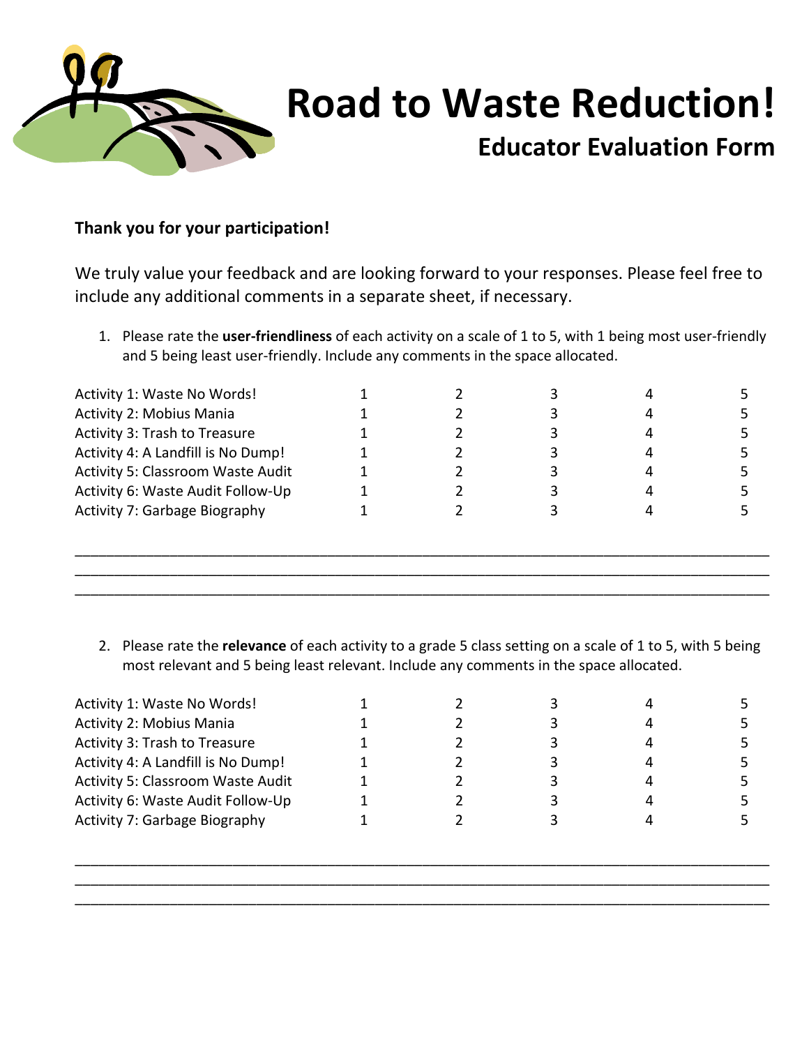

## **Road to Waste Reduction!**

## **Educator Evaluation Form**

## **Thank you for your participation!**

We truly value your feedback and are looking forward to your responses. Please feel free to include any additional comments in a separate sheet, if necessary.

1. Please rate the **user‐friendliness** of each activity on a scale of 1 to 5, with 1 being most user‐friendly and 5 being least user-friendly. Include any comments in the space allocated.

| Activity 1: Waste No Words!              |  |  |  |
|------------------------------------------|--|--|--|
| Activity 2: Mobius Mania                 |  |  |  |
| Activity 3: Trash to Treasure            |  |  |  |
| Activity 4: A Landfill is No Dump!       |  |  |  |
| <b>Activity 5: Classroom Waste Audit</b> |  |  |  |
| Activity 6: Waste Audit Follow-Up        |  |  |  |
| <b>Activity 7: Garbage Biography</b>     |  |  |  |
|                                          |  |  |  |
|                                          |  |  |  |
|                                          |  |  |  |

2. Please rate the **relevance** of each activity to a grade 5 class setting on a scale of 1 to 5, with 5 being most relevant and 5 being least relevant. Include any comments in the space allocated.

| Activity 1: Waste No Words!              |  |  |  |
|------------------------------------------|--|--|--|
| Activity 2: Mobius Mania                 |  |  |  |
| Activity 3: Trash to Treasure            |  |  |  |
| Activity 4: A Landfill is No Dump!       |  |  |  |
| <b>Activity 5: Classroom Waste Audit</b> |  |  |  |
| Activity 6: Waste Audit Follow-Up        |  |  |  |
| <b>Activity 7: Garbage Biography</b>     |  |  |  |
|                                          |  |  |  |

\_\_\_\_\_\_\_\_\_\_\_\_\_\_\_\_\_\_\_\_\_\_\_\_\_\_\_\_\_\_\_\_\_\_\_\_\_\_\_\_\_\_\_\_\_\_\_\_\_\_\_\_\_\_\_\_\_\_\_\_\_\_\_\_\_\_\_\_\_\_\_\_\_\_\_\_\_\_\_\_\_\_\_\_\_\_\_\_ \_\_\_\_\_\_\_\_\_\_\_\_\_\_\_\_\_\_\_\_\_\_\_\_\_\_\_\_\_\_\_\_\_\_\_\_\_\_\_\_\_\_\_\_\_\_\_\_\_\_\_\_\_\_\_\_\_\_\_\_\_\_\_\_\_\_\_\_\_\_\_\_\_\_\_\_\_\_\_\_\_\_\_\_\_\_\_\_ \_\_\_\_\_\_\_\_\_\_\_\_\_\_\_\_\_\_\_\_\_\_\_\_\_\_\_\_\_\_\_\_\_\_\_\_\_\_\_\_\_\_\_\_\_\_\_\_\_\_\_\_\_\_\_\_\_\_\_\_\_\_\_\_\_\_\_\_\_\_\_\_\_\_\_\_\_\_\_\_\_\_\_\_\_\_\_\_